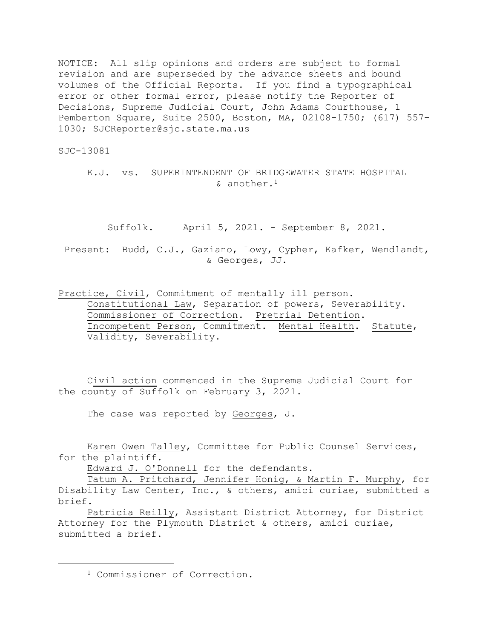NOTICE: All slip opinions and orders are subject to formal revision and are superseded by the advance sheets and bound volumes of the Official Reports. If you find a typographical error or other formal error, please notify the Reporter of Decisions, Supreme Judicial Court, John Adams Courthouse, 1 Pemberton Square, Suite 2500, Boston, MA, 02108-1750; (617) 557- 1030; SJCReporter@sjc.state.ma.us

SJC-13081

## K.J. vs. SUPERINTENDENT OF BRIDGEWATER STATE HOSPITAL & another.<sup>1</sup>

Suffolk. April 5, 2021. - September 8, 2021.

Present: Budd, C.J., Gaziano, Lowy, Cypher, Kafker, Wendlandt, & Georges, JJ.

Practice, Civil, Commitment of mentally ill person. Constitutional Law, Separation of powers, Severability. Commissioner of Correction. Pretrial Detention. Incompetent Person, Commitment. Mental Health. Statute, Validity, Severability.

Civil action commenced in the Supreme Judicial Court for the county of Suffolk on February 3, 2021.

The case was reported by Georges, J.

Karen Owen Talley, Committee for Public Counsel Services, for the plaintiff.

Edward J. O'Donnell for the defendants.

Tatum A. Pritchard, Jennifer Honig, & Martin F. Murphy, for Disability Law Center, Inc., & others, amici curiae, submitted a brief.

Patricia Reilly, Assistant District Attorney, for District Attorney for the Plymouth District & others, amici curiae, submitted a brief.

<sup>1</sup> Commissioner of Correction.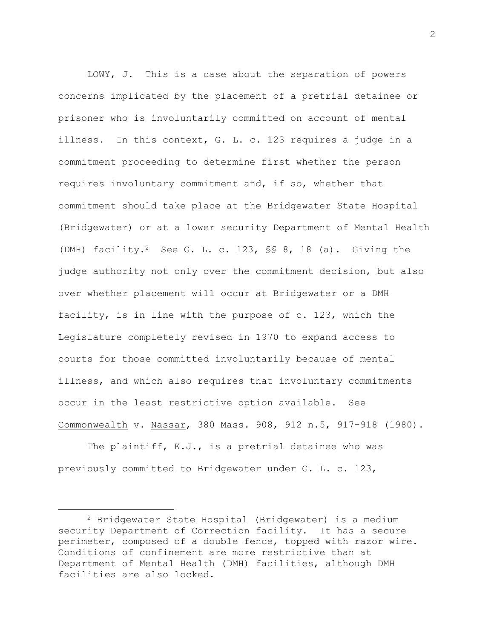LOWY, J. This is a case about the separation of powers concerns implicated by the placement of a pretrial detainee or prisoner who is involuntarily committed on account of mental illness. In this context, G. L. c. 123 requires a judge in a commitment proceeding to determine first whether the person requires involuntary commitment and, if so, whether that commitment should take place at the Bridgewater State Hospital (Bridgewater) or at a lower security Department of Mental Health (DMH) facility.2 See G. L. c. 123, §§ 8, 18 (a). Giving the judge authority not only over the commitment decision, but also over whether placement will occur at Bridgewater or a DMH facility, is in line with the purpose of c. 123, which the Legislature completely revised in 1970 to expand access to courts for those committed involuntarily because of mental illness, and which also requires that involuntary commitments occur in the least restrictive option available. See Commonwealth v. Nassar, 380 Mass. 908, 912 n.5, 917-918 (1980).

The plaintiff, K.J., is a pretrial detainee who was previously committed to Bridgewater under G. L. c. 123,

<sup>2</sup> Bridgewater State Hospital (Bridgewater) is a medium security Department of Correction facility. It has a secure perimeter, composed of a double fence, topped with razor wire. Conditions of confinement are more restrictive than at Department of Mental Health (DMH) facilities, although DMH facilities are also locked.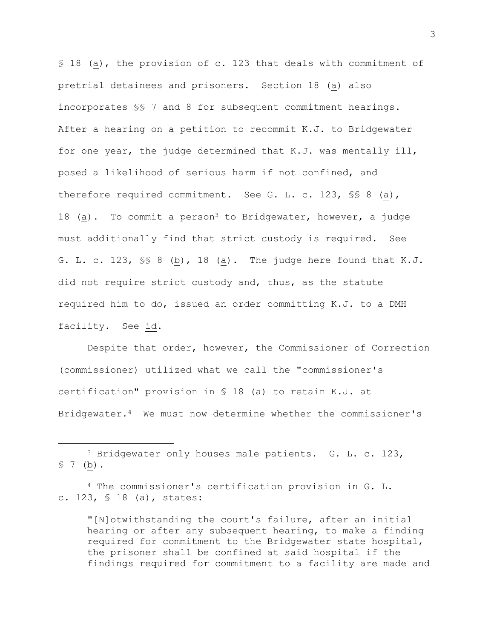§ 18 (a), the provision of c. 123 that deals with commitment of pretrial detainees and prisoners. Section 18 (a) also incorporates §§ 7 and 8 for subsequent commitment hearings. After a hearing on a petition to recommit K.J. to Bridgewater for one year, the judge determined that K.J. was mentally ill, posed a likelihood of serious harm if not confined, and therefore required commitment. See G. L. c. 123, §§ 8 (a), 18 (a). To commit a person<sup>3</sup> to Bridgewater, however, a judge must additionally find that strict custody is required. See G. L. c. 123, §§ 8 (b), 18 (a). The judge here found that K.J. did not require strict custody and, thus, as the statute required him to do, issued an order committing K.J. to a DMH facility. See id.

Despite that order, however, the Commissioner of Correction (commissioner) utilized what we call the "commissioner's certification" provision in § 18 (a) to retain K.J. at Bridgewater.4 We must now determine whether the commissioner's

<sup>4</sup> The commissioner's certification provision in G. L. c. 123, § 18 (a), states:

"[N]otwithstanding the court's failure, after an initial hearing or after any subsequent hearing, to make a finding required for commitment to the Bridgewater state hospital, the prisoner shall be confined at said hospital if the findings required for commitment to a facility are made and

<sup>3</sup> Bridgewater only houses male patients. G. L. c. 123,  $$7$  (b).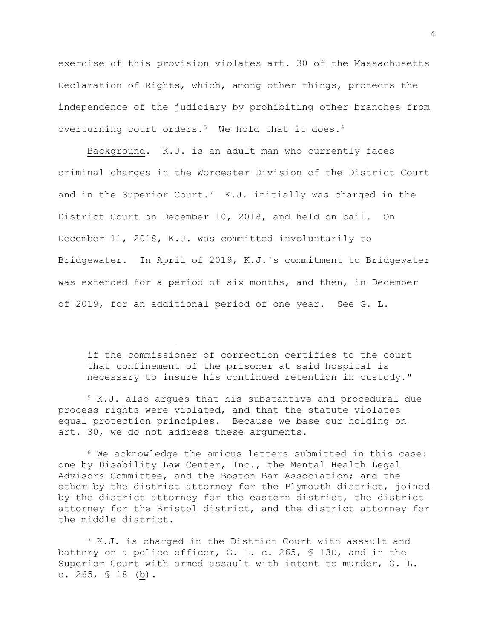exercise of this provision violates art. 30 of the Massachusetts Declaration of Rights, which, among other things, protects the independence of the judiciary by prohibiting other branches from overturning court orders.<sup>5</sup> We hold that it does.<sup>6</sup>

Background. K.J. is an adult man who currently faces criminal charges in the Worcester Division of the District Court and in the Superior Court.<sup>7</sup> K.J. initially was charged in the District Court on December 10, 2018, and held on bail. On December 11, 2018, K.J. was committed involuntarily to Bridgewater. In April of 2019, K.J.'s commitment to Bridgewater was extended for a period of six months, and then, in December of 2019, for an additional period of one year. See G. L.

if the commissioner of correction certifies to the court that confinement of the prisoner at said hospital is necessary to insure his continued retention in custody."

<sup>5</sup> K.J. also argues that his substantive and procedural due process rights were violated, and that the statute violates equal protection principles. Because we base our holding on art. 30, we do not address these arguments.

 $6$  We acknowledge the amicus letters submitted in this case: one by Disability Law Center, Inc., the Mental Health Legal Advisors Committee, and the Boston Bar Association; and the other by the district attorney for the Plymouth district, joined by the district attorney for the eastern district, the district attorney for the Bristol district, and the district attorney for the middle district.

<sup>7</sup> K.J. is charged in the District Court with assault and battery on a police officer, G. L. c. 265, § 13D, and in the Superior Court with armed assault with intent to murder, G. L. c. 265, § 18 (b).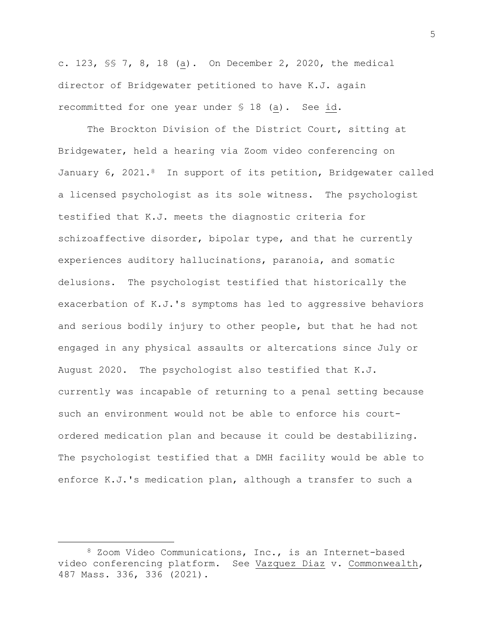c. 123, §§ 7, 8, 18 (a). On December 2, 2020, the medical director of Bridgewater petitioned to have K.J. again recommitted for one year under § 18 (a). See id.

The Brockton Division of the District Court, sitting at Bridgewater, held a hearing via Zoom video conferencing on January 6, 2021.8 In support of its petition, Bridgewater called a licensed psychologist as its sole witness. The psychologist testified that K.J. meets the diagnostic criteria for schizoaffective disorder, bipolar type, and that he currently experiences auditory hallucinations, paranoia, and somatic delusions. The psychologist testified that historically the exacerbation of K.J.'s symptoms has led to aggressive behaviors and serious bodily injury to other people, but that he had not engaged in any physical assaults or altercations since July or August 2020. The psychologist also testified that K.J. currently was incapable of returning to a penal setting because such an environment would not be able to enforce his courtordered medication plan and because it could be destabilizing. The psychologist testified that a DMH facility would be able to enforce K.J.'s medication plan, although a transfer to such a

<sup>8</sup> Zoom Video Communications, Inc., is an Internet-based video conferencing platform. See Vazquez Diaz v. Commonwealth, 487 Mass. 336, 336 (2021).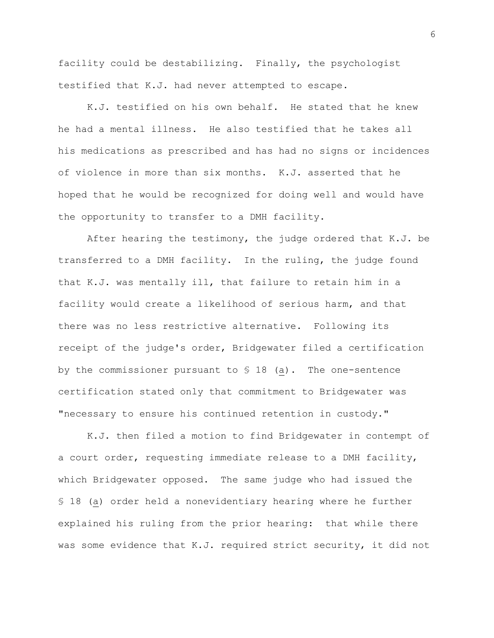facility could be destabilizing. Finally, the psychologist testified that K.J. had never attempted to escape.

K.J. testified on his own behalf. He stated that he knew he had a mental illness. He also testified that he takes all his medications as prescribed and has had no signs or incidences of violence in more than six months. K.J. asserted that he hoped that he would be recognized for doing well and would have the opportunity to transfer to a DMH facility.

After hearing the testimony, the judge ordered that K.J. be transferred to a DMH facility. In the ruling, the judge found that K.J. was mentally ill, that failure to retain him in a facility would create a likelihood of serious harm, and that there was no less restrictive alternative. Following its receipt of the judge's order, Bridgewater filed a certification by the commissioner pursuant to  $$ 18$  (a). The one-sentence certification stated only that commitment to Bridgewater was "necessary to ensure his continued retention in custody."

K.J. then filed a motion to find Bridgewater in contempt of a court order, requesting immediate release to a DMH facility, which Bridgewater opposed. The same judge who had issued the § 18 (a) order held a nonevidentiary hearing where he further explained his ruling from the prior hearing: that while there was some evidence that K.J. required strict security, it did not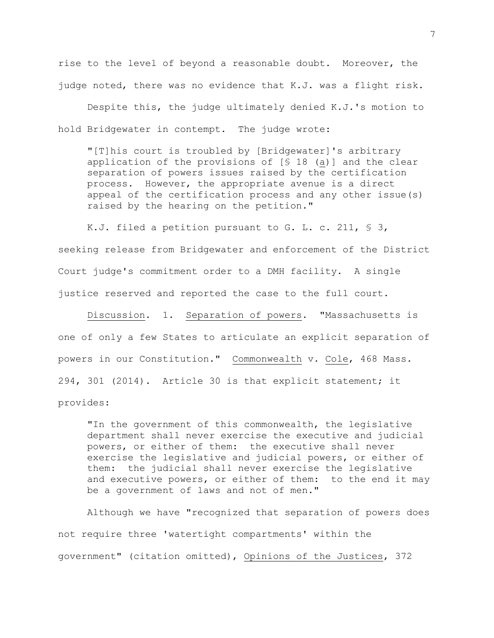rise to the level of beyond a reasonable doubt. Moreover, the judge noted, there was no evidence that K.J. was a flight risk.

Despite this, the judge ultimately denied K.J.'s motion to hold Bridgewater in contempt. The judge wrote:

"[T]his court is troubled by [Bridgewater]'s arbitrary application of the provisions of [§ 18 (a)] and the clear separation of powers issues raised by the certification process. However, the appropriate avenue is a direct appeal of the certification process and any other issue(s) raised by the hearing on the petition."

K.J. filed a petition pursuant to G. L. c. 211, § 3, seeking release from Bridgewater and enforcement of the District Court judge's commitment order to a DMH facility. A single justice reserved and reported the case to the full court.

Discussion. 1. Separation of powers. "Massachusetts is one of only a few States to articulate an explicit separation of powers in our Constitution." Commonwealth v. Cole, 468 Mass. 294, 301 (2014). Article 30 is that explicit statement; it provides:

"In the government of this commonwealth, the legislative department shall never exercise the executive and judicial powers, or either of them: the executive shall never exercise the legislative and judicial powers, or either of them: the judicial shall never exercise the legislative and executive powers, or either of them: to the end it may be a government of laws and not of men."

Although we have "recognized that separation of powers does not require three 'watertight compartments' within the government" (citation omitted), Opinions of the Justices, 372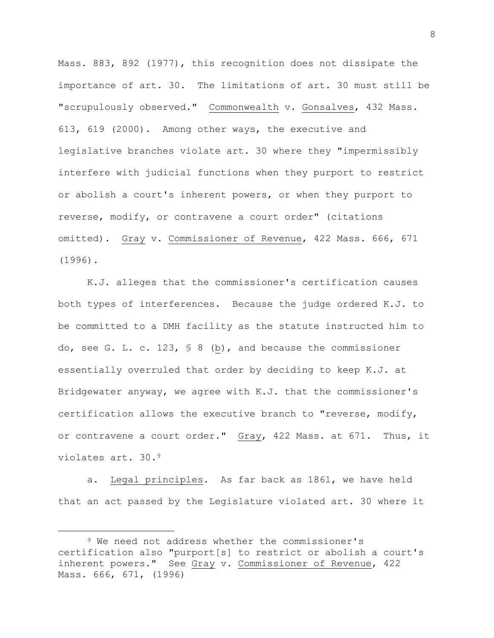Mass. 883, 892 (1977), this recognition does not dissipate the importance of art. 30. The limitations of art. 30 must still be "scrupulously observed." Commonwealth v. Gonsalves, 432 Mass. 613, 619 (2000). Among other ways, the executive and legislative branches violate art. 30 where they "impermissibly interfere with judicial functions when they purport to restrict or abolish a court's inherent powers, or when they purport to reverse, modify, or contravene a court order" (citations omitted). Gray v. Commissioner of Revenue, 422 Mass. 666, 671 (1996).

K.J. alleges that the commissioner's certification causes both types of interferences. Because the judge ordered K.J. to be committed to a DMH facility as the statute instructed him to do, see G. L. c. 123, § 8 (b), and because the commissioner essentially overruled that order by deciding to keep K.J. at Bridgewater anyway, we agree with K.J. that the commissioner's certification allows the executive branch to "reverse, modify, or contravene a court order." Gray, 422 Mass. at 671. Thus, it violates art. 30.<sup>9</sup>

a. Legal principles. As far back as 1861, we have held that an act passed by the Legislature violated art. 30 where it

<sup>&</sup>lt;sup>9</sup> We need not address whether the commissioner's certification also "purport[s] to restrict or abolish a court's inherent powers." See Gray v. Commissioner of Revenue, 422 Mass. 666, 671, (1996)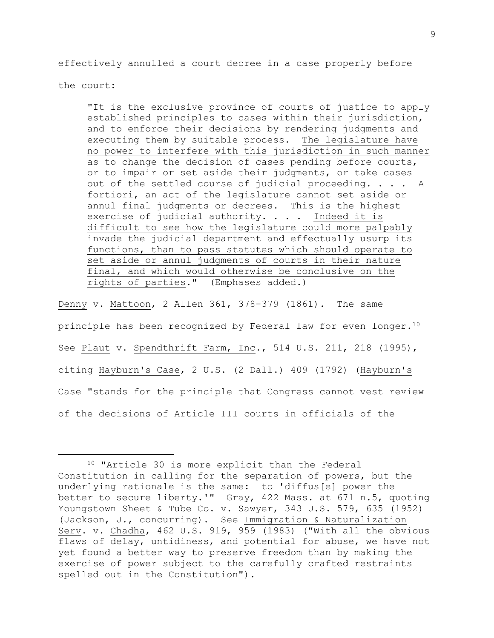effectively annulled a court decree in a case properly before

the court:

"It is the exclusive province of courts of justice to apply established principles to cases within their jurisdiction, and to enforce their decisions by rendering judgments and executing them by suitable process. The legislature have no power to interfere with this jurisdiction in such manner as to change the decision of cases pending before courts, or to impair or set aside their judgments, or take cases out of the settled course of judicial proceeding. . . . A fortiori, an act of the legislature cannot set aside or annul final judgments or decrees. This is the highest exercise of judicial authority. . . . Indeed it is difficult to see how the legislature could more palpably invade the judicial department and effectually usurp its functions, than to pass statutes which should operate to set aside or annul judgments of courts in their nature final, and which would otherwise be conclusive on the rights of parties." (Emphases added.)

Denny v. Mattoon, 2 Allen 361, 378-379 (1861). The same principle has been recognized by Federal law for even longer.<sup>10</sup> See Plaut v. Spendthrift Farm, Inc., 514 U.S. 211, 218 (1995), citing Hayburn's Case, 2 U.S. (2 Dall.) 409 (1792) (Hayburn's Case "stands for the principle that Congress cannot vest review of the decisions of Article III courts in officials of the

<sup>10</sup> "Article 30 is more explicit than the Federal Constitution in calling for the separation of powers, but the underlying rationale is the same: to 'diffus[e] power the better to secure liberty.'" Gray, 422 Mass. at 671 n.5, quoting Youngstown Sheet & Tube Co. v. Sawyer, 343 U.S. 579, 635 (1952) (Jackson, J., concurring). See Immigration & Naturalization Serv. v. Chadha, 462 U.S. 919, 959 (1983) ("With all the obvious flaws of delay, untidiness, and potential for abuse, we have not yet found a better way to preserve freedom than by making the exercise of power subject to the carefully crafted restraints spelled out in the Constitution").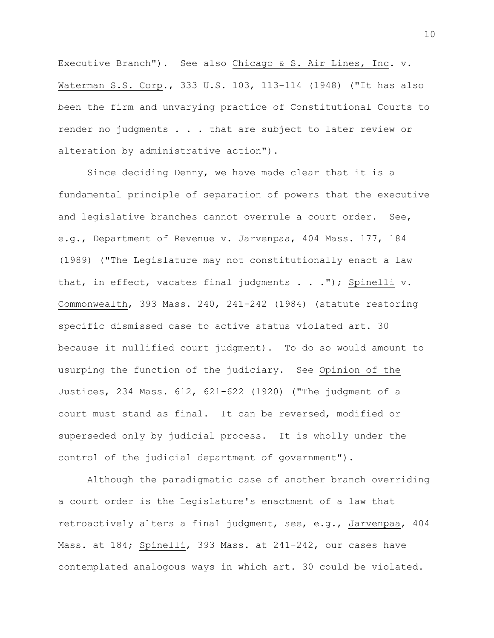Executive Branch"). See also Chicago & S. Air Lines, Inc. v. Waterman S.S. Corp., 333 U.S. 103, 113-114 (1948) ("It has also been the firm and unvarying practice of Constitutional Courts to render no judgments . . . that are subject to later review or alteration by administrative action").

Since deciding Denny, we have made clear that it is a fundamental principle of separation of powers that the executive and legislative branches cannot overrule a court order. See, e.g., Department of Revenue v. Jarvenpaa, 404 Mass. 177, 184 (1989) ("The Legislature may not constitutionally enact a law that, in effect, vacates final judgments  $\ldots$  ."); Spinelli v. Commonwealth, 393 Mass. 240, 241-242 (1984) (statute restoring specific dismissed case to active status violated art. 30 because it nullified court judgment). To do so would amount to usurping the function of the judiciary. See Opinion of the Justices, 234 Mass. 612, 621-622 (1920) ("The judgment of a court must stand as final. It can be reversed, modified or superseded only by judicial process. It is wholly under the control of the judicial department of government").

Although the paradigmatic case of another branch overriding a court order is the Legislature's enactment of a law that retroactively alters a final judgment, see, e.g., Jarvenpaa, 404 Mass. at 184; Spinelli, 393 Mass. at 241-242, our cases have contemplated analogous ways in which art. 30 could be violated.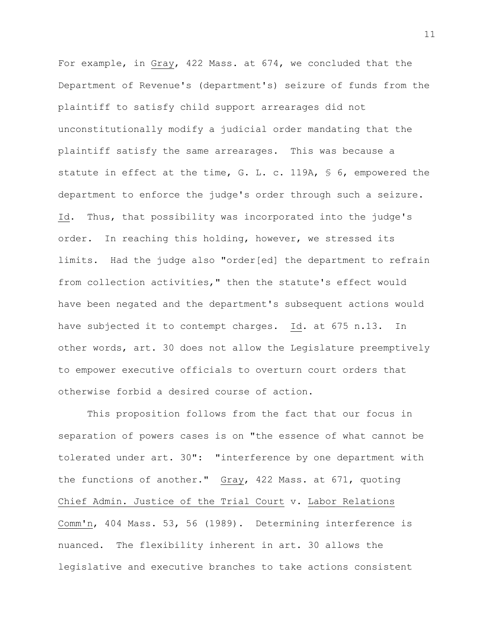For example, in Gray, 422 Mass. at 674, we concluded that the Department of Revenue's (department's) seizure of funds from the plaintiff to satisfy child support arrearages did not unconstitutionally modify a judicial order mandating that the plaintiff satisfy the same arrearages. This was because a statute in effect at the time, G. L. c. 119A, § 6, empowered the department to enforce the judge's order through such a seizure. Id. Thus, that possibility was incorporated into the judge's order. In reaching this holding, however, we stressed its limits. Had the judge also "order[ed] the department to refrain from collection activities," then the statute's effect would have been negated and the department's subsequent actions would have subjected it to contempt charges. Id. at 675 n.13. In other words, art. 30 does not allow the Legislature preemptively to empower executive officials to overturn court orders that otherwise forbid a desired course of action.

This proposition follows from the fact that our focus in separation of powers cases is on "the essence of what cannot be tolerated under art. 30": "interference by one department with the functions of another." Gray, 422 Mass. at 671, quoting Chief Admin. Justice of the Trial Court v. Labor Relations Comm'n, 404 Mass. 53, 56 (1989). Determining interference is nuanced. The flexibility inherent in art. 30 allows the legislative and executive branches to take actions consistent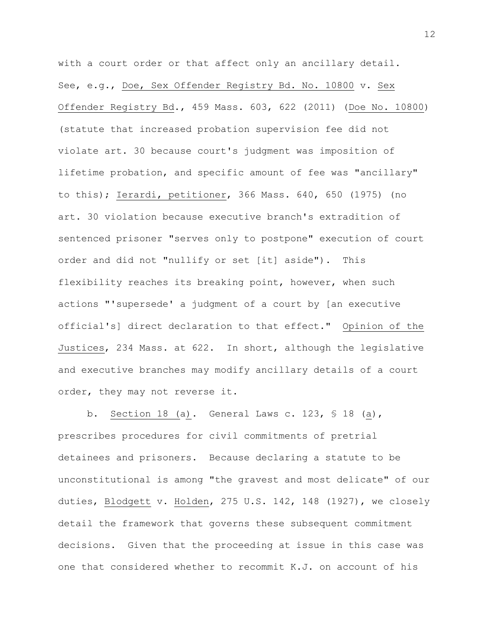with a court order or that affect only an ancillary detail. See, e.g., Doe, Sex Offender Registry Bd. No. 10800 v. Sex Offender Registry Bd., 459 Mass. 603, 622 (2011) (Doe No. 10800) (statute that increased probation supervision fee did not violate art. 30 because court's judgment was imposition of lifetime probation, and specific amount of fee was "ancillary" to this); Ierardi, petitioner, 366 Mass. 640, 650 (1975) (no art. 30 violation because executive branch's extradition of sentenced prisoner "serves only to postpone" execution of court order and did not "nullify or set [it] aside"). This flexibility reaches its breaking point, however, when such actions "'supersede' a judgment of a court by [an executive official's] direct declaration to that effect." Opinion of the Justices, 234 Mass. at 622. In short, although the legislative and executive branches may modify ancillary details of a court order, they may not reverse it.

b. Section 18 (a). General Laws c. 123, § 18 (a), prescribes procedures for civil commitments of pretrial detainees and prisoners. Because declaring a statute to be unconstitutional is among "the gravest and most delicate" of our duties, Blodgett v. Holden, 275 U.S. 142, 148 (1927), we closely detail the framework that governs these subsequent commitment decisions. Given that the proceeding at issue in this case was one that considered whether to recommit K.J. on account of his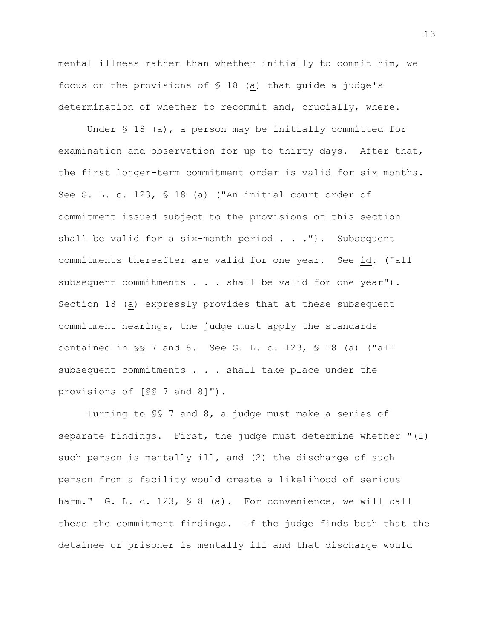mental illness rather than whether initially to commit him, we focus on the provisions of  $\S$  18 (a) that guide a judge's determination of whether to recommit and, crucially, where.

Under § 18 (a), a person may be initially committed for examination and observation for up to thirty days. After that, the first longer-term commitment order is valid for six months. See G. L. c. 123, § 18 (a) ("An initial court order of commitment issued subject to the provisions of this section shall be valid for a six-month period . . . "). Subsequent commitments thereafter are valid for one year. See id. ("all subsequent commitments . . . shall be valid for one year"). Section 18 (a) expressly provides that at these subsequent commitment hearings, the judge must apply the standards contained in §§ 7 and 8. See G. L. c. 123, § 18 (a) ("all subsequent commitments . . . shall take place under the provisions of [§§ 7 and 8]").

Turning to §§ 7 and 8, a judge must make a series of separate findings. First, the judge must determine whether "(1) such person is mentally ill, and (2) the discharge of such person from a facility would create a likelihood of serious harm." G. L. c. 123, § 8 (a). For convenience, we will call these the commitment findings. If the judge finds both that the detainee or prisoner is mentally ill and that discharge would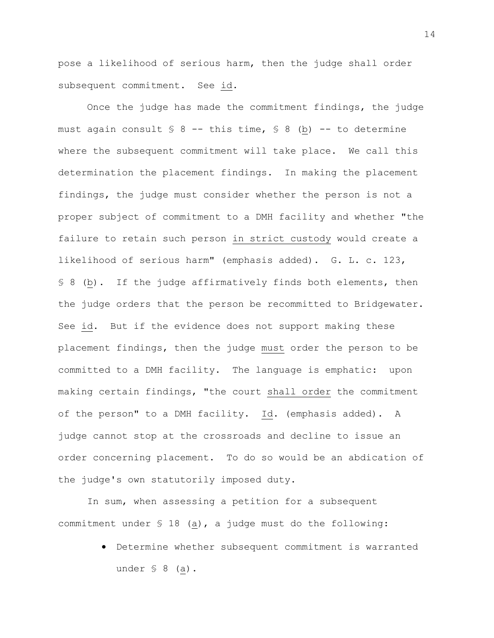pose a likelihood of serious harm, then the judge shall order subsequent commitment. See id.

Once the judge has made the commitment findings, the judge must again consult  $\S$  8 -- this time,  $\S$  8 (b) -- to determine where the subsequent commitment will take place. We call this determination the placement findings. In making the placement findings, the judge must consider whether the person is not a proper subject of commitment to a DMH facility and whether "the failure to retain such person in strict custody would create a likelihood of serious harm" (emphasis added). G. L. c. 123, § 8 (b). If the judge affirmatively finds both elements, then the judge orders that the person be recommitted to Bridgewater. See id. But if the evidence does not support making these placement findings, then the judge must order the person to be committed to a DMH facility. The language is emphatic: upon making certain findings, "the court shall order the commitment of the person" to a DMH facility. Id. (emphasis added). A judge cannot stop at the crossroads and decline to issue an order concerning placement. To do so would be an abdication of the judge's own statutorily imposed duty.

In sum, when assessing a petition for a subsequent commitment under § 18 (a), a judge must do the following:

> • Determine whether subsequent commitment is warranted under § 8 (a).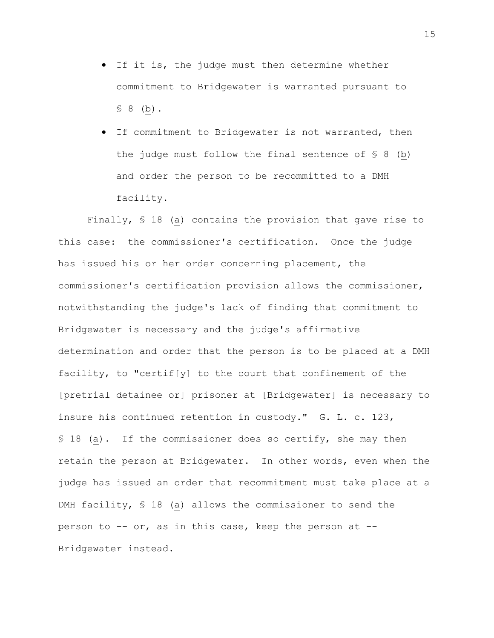- If it is, the judge must then determine whether commitment to Bridgewater is warranted pursuant to § 8 (b).
- If commitment to Bridgewater is not warranted, then the judge must follow the final sentence of  $\S$  8 (b) and order the person to be recommitted to a DMH facility.

Finally, § 18 (a) contains the provision that gave rise to this case: the commissioner's certification. Once the judge has issued his or her order concerning placement, the commissioner's certification provision allows the commissioner, notwithstanding the judge's lack of finding that commitment to Bridgewater is necessary and the judge's affirmative determination and order that the person is to be placed at a DMH facility, to "certif[y] to the court that confinement of the [pretrial detainee or] prisoner at [Bridgewater] is necessary to insure his continued retention in custody." G. L. c. 123, § 18 (a). If the commissioner does so certify, she may then retain the person at Bridgewater. In other words, even when the judge has issued an order that recommitment must take place at a DMH facility, § 18 (a) allows the commissioner to send the person to -- or, as in this case, keep the person at -- Bridgewater instead.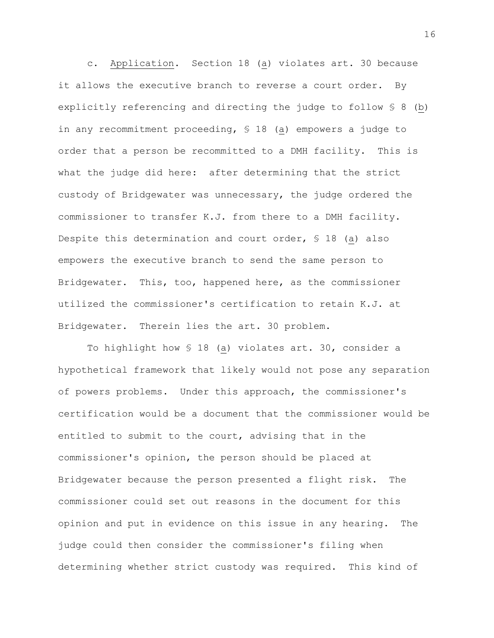c. Application. Section 18 (a) violates art. 30 because it allows the executive branch to reverse a court order. By explicitly referencing and directing the judge to follow § 8 (b) in any recommitment proceeding, § 18 (a) empowers a judge to order that a person be recommitted to a DMH facility. This is what the judge did here: after determining that the strict custody of Bridgewater was unnecessary, the judge ordered the commissioner to transfer K.J. from there to a DMH facility. Despite this determination and court order, § 18 (a) also empowers the executive branch to send the same person to Bridgewater. This, too, happened here, as the commissioner utilized the commissioner's certification to retain K.J. at Bridgewater. Therein lies the art. 30 problem.

To highlight how § 18 (a) violates art. 30, consider a hypothetical framework that likely would not pose any separation of powers problems. Under this approach, the commissioner's certification would be a document that the commissioner would be entitled to submit to the court, advising that in the commissioner's opinion, the person should be placed at Bridgewater because the person presented a flight risk. The commissioner could set out reasons in the document for this opinion and put in evidence on this issue in any hearing. The judge could then consider the commissioner's filing when determining whether strict custody was required. This kind of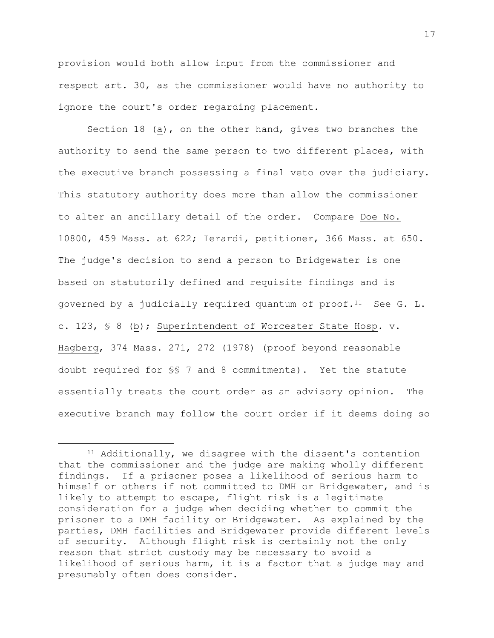provision would both allow input from the commissioner and respect art. 30, as the commissioner would have no authority to ignore the court's order regarding placement.

Section 18 (a), on the other hand, gives two branches the authority to send the same person to two different places, with the executive branch possessing a final veto over the judiciary. This statutory authority does more than allow the commissioner to alter an ancillary detail of the order. Compare Doe No. 10800, 459 Mass. at 622; Ierardi, petitioner, 366 Mass. at 650. The judge's decision to send a person to Bridgewater is one based on statutorily defined and requisite findings and is governed by a judicially required quantum of  $proof.<sup>11</sup>$  See G. L. c. 123, § 8 (b); Superintendent of Worcester State Hosp. v. Hagberg, 374 Mass. 271, 272 (1978) (proof beyond reasonable doubt required for §§ 7 and 8 commitments). Yet the statute essentially treats the court order as an advisory opinion. The executive branch may follow the court order if it deems doing so

<sup>11</sup> Additionally, we disagree with the dissent's contention that the commissioner and the judge are making wholly different findings. If a prisoner poses a likelihood of serious harm to himself or others if not committed to DMH or Bridgewater, and is likely to attempt to escape, flight risk is a legitimate consideration for a judge when deciding whether to commit the prisoner to a DMH facility or Bridgewater. As explained by the parties, DMH facilities and Bridgewater provide different levels of security. Although flight risk is certainly not the only reason that strict custody may be necessary to avoid a likelihood of serious harm, it is a factor that a judge may and presumably often does consider.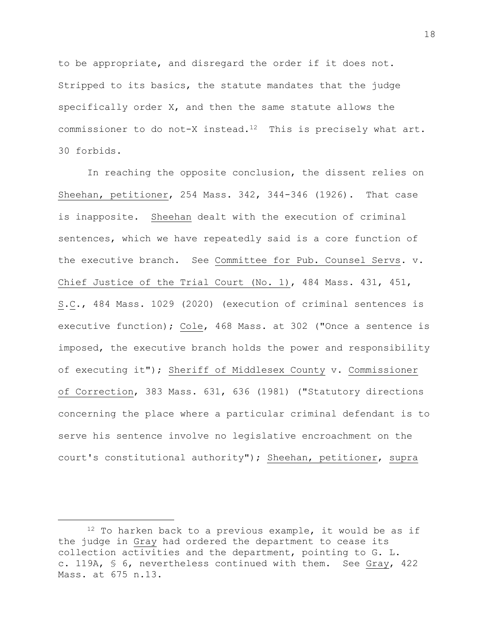to be appropriate, and disregard the order if it does not. Stripped to its basics, the statute mandates that the judge specifically order X, and then the same statute allows the commissioner to do not-X instead.<sup>12</sup> This is precisely what art. 30 forbids.

In reaching the opposite conclusion, the dissent relies on Sheehan, petitioner, 254 Mass. 342, 344-346 (1926). That case is inapposite. Sheehan dealt with the execution of criminal sentences, which we have repeatedly said is a core function of the executive branch. See Committee for Pub. Counsel Servs. v. Chief Justice of the Trial Court (No. 1), 484 Mass. 431, 451, S.C., 484 Mass. 1029 (2020) (execution of criminal sentences is executive function); Cole, 468 Mass. at 302 ("Once a sentence is imposed, the executive branch holds the power and responsibility of executing it"); Sheriff of Middlesex County v. Commissioner of Correction, 383 Mass. 631, 636 (1981) ("Statutory directions concerning the place where a particular criminal defendant is to serve his sentence involve no legislative encroachment on the court's constitutional authority"); Sheehan, petitioner, supra

 $12$  To harken back to a previous example, it would be as if the judge in Gray had ordered the department to cease its collection activities and the department, pointing to G. L. c. 119A, § 6, nevertheless continued with them. See Gray, 422 Mass. at 675 n.13.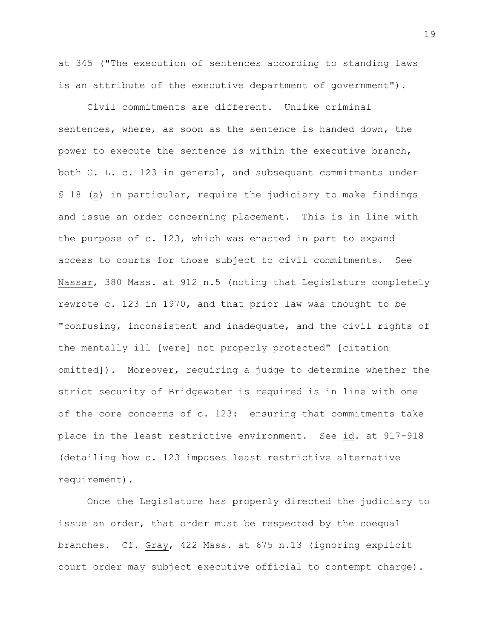at 345 ("The execution of sentences according to standing laws is an attribute of the executive department of government").

Civil commitments are different. Unlike criminal sentences, where, as soon as the sentence is handed down, the power to execute the sentence is within the executive branch, both G. L. c. 123 in general, and subsequent commitments under § 18 (a) in particular, require the judiciary to make findings and issue an order concerning placement. This is in line with the purpose of c. 123, which was enacted in part to expand access to courts for those subject to civil commitments. See Nassar, 380 Mass. at 912 n.5 (noting that Legislature completely rewrote c. 123 in 1970, and that prior law was thought to be "confusing, inconsistent and inadequate, and the civil rights of the mentally ill [were] not properly protected" [citation omitted]). Moreover, requiring a judge to determine whether the strict security of Bridgewater is required is in line with one of the core concerns of c. 123: ensuring that commitments take place in the least restrictive environment. See id. at 917-918 (detailing how c. 123 imposes least restrictive alternative requirement).

Once the Legislature has properly directed the judiciary to issue an order, that order must be respected by the coequal branches. Cf. Gray, 422 Mass. at 675 n.13 (ignoring explicit court order may subject executive official to contempt charge).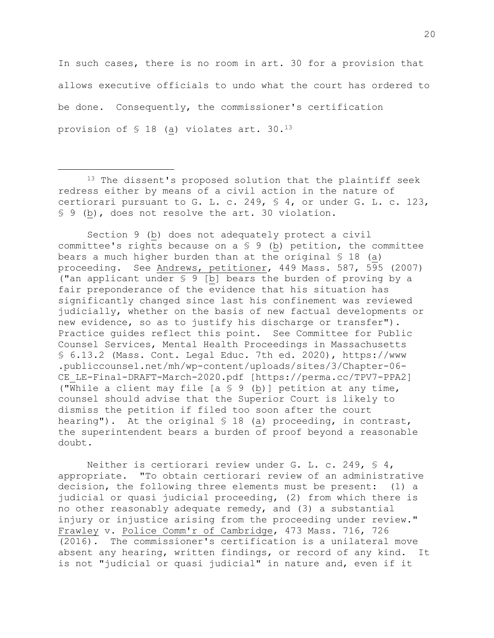In such cases, there is no room in art. 30 for a provision that allows executive officials to undo what the court has ordered to be done. Consequently, the commissioner's certification provision of § 18 (a) violates art. 30.<sup>13</sup>

<sup>13</sup> The dissent's proposed solution that the plaintiff seek redress either by means of a civil action in the nature of certiorari pursuant to G. L. c. 249, § 4, or under G. L. c. 123, § 9 (b), does not resolve the art. 30 violation.

Section 9 (b) does not adequately protect a civil committee's rights because on a § 9 (b) petition, the committee bears a much higher burden than at the original § 18 (a) proceeding. See Andrews, petitioner, 449 Mass. 587, 595 (2007) ("an applicant under § 9 [b] bears the burden of proving by a fair preponderance of the evidence that his situation has significantly changed since last his confinement was reviewed judicially, whether on the basis of new factual developments or new evidence, so as to justify his discharge or transfer"). Practice guides reflect this point. See Committee for Public Counsel Services, Mental Health Proceedings in Massachusetts § 6.13.2 (Mass. Cont. Legal Educ. 7th ed. 2020), https://www .publiccounsel.net/mh/wp-content/uploads/sites/3/Chapter-06- CE\_LE-Final-DRAFT-March-2020.pdf [https://perma.cc/TPV7-PPA2] ("While a client may file [a § 9 (b)] petition at any time, counsel should advise that the Superior Court is likely to dismiss the petition if filed too soon after the court hearing"). At the original § 18 (a) proceeding, in contrast, the superintendent bears a burden of proof beyond a reasonable doubt.

Neither is certiorari review under G. L. c. 249, § 4, appropriate. "To obtain certiorari review of an administrative decision, the following three elements must be present: (1) a judicial or quasi judicial proceeding, (2) from which there is no other reasonably adequate remedy, and (3) a substantial injury or injustice arising from the proceeding under review." Frawley v. Police Comm'r of Cambridge, 473 Mass. 716, 726 (2016). The commissioner's certification is a unilateral move absent any hearing, written findings, or record of any kind. It is not "judicial or quasi judicial" in nature and, even if it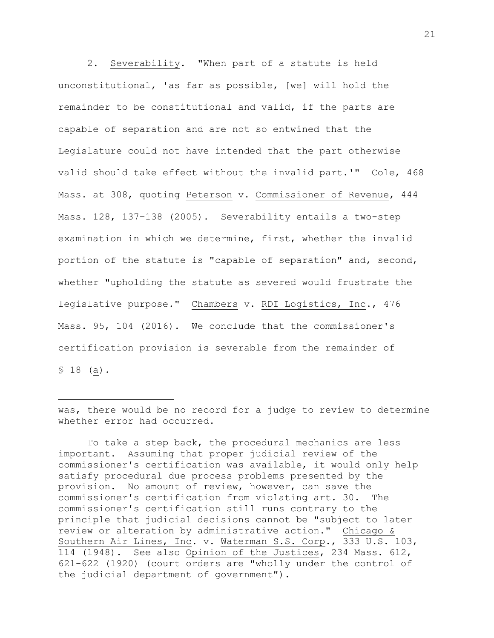2. Severability. "When part of a statute is held unconstitutional, 'as far as possible, [we] will hold the remainder to be constitutional and valid, if the parts are capable of separation and are not so entwined that the Legislature could not have intended that the part otherwise valid should take effect without the invalid part.'" Cole, 468 Mass. at 308, quoting Peterson v. Commissioner of Revenue, 444 Mass. 128, 137–138 (2005). Severability entails a two-step examination in which we determine, first, whether the invalid portion of the statute is "capable of separation" and, second, whether "upholding the statute as severed would frustrate the legislative purpose." Chambers v. RDI Logistics, Inc., 476 Mass. 95, 104 (2016). We conclude that the commissioner's certification provision is severable from the remainder of § 18 (a).

was, there would be no record for a judge to review to determine whether error had occurred.

To take a step back, the procedural mechanics are less important. Assuming that proper judicial review of the commissioner's certification was available, it would only help satisfy procedural due process problems presented by the provision. No amount of review, however, can save the commissioner's certification from violating art. 30. The commissioner's certification still runs contrary to the principle that judicial decisions cannot be "subject to later review or alteration by administrative action." Chicago & Southern Air Lines, Inc. v. Waterman S.S. Corp., 333 U.S. 103, 114 (1948). See also Opinion of the Justices, 234 Mass. 612, 621-622 (1920) (court orders are "wholly under the control of the judicial department of government").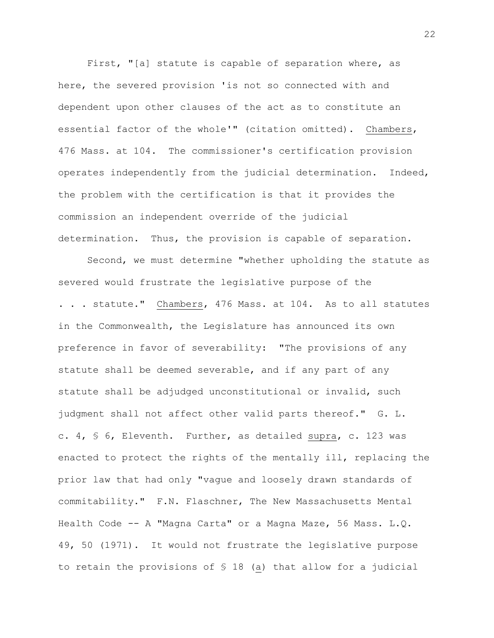First, "[a] statute is capable of separation where, as here, the severed provision 'is not so connected with and dependent upon other clauses of the act as to constitute an essential factor of the whole'" (citation omitted). Chambers, 476 Mass. at 104. The commissioner's certification provision operates independently from the judicial determination. Indeed, the problem with the certification is that it provides the commission an independent override of the judicial determination. Thus, the provision is capable of separation.

Second, we must determine "whether upholding the statute as severed would frustrate the legislative purpose of the . . . statute." Chambers, 476 Mass. at 104. As to all statutes in the Commonwealth, the Legislature has announced its own preference in favor of severability: "The provisions of any statute shall be deemed severable, and if any part of any statute shall be adjudged unconstitutional or invalid, such judgment shall not affect other valid parts thereof." G. L. c. 4, § 6, Eleventh. Further, as detailed supra, c. 123 was enacted to protect the rights of the mentally ill, replacing the prior law that had only "vague and loosely drawn standards of commitability." F.N. Flaschner, The New Massachusetts Mental Health Code -- A "Magna Carta" or a Magna Maze, 56 Mass. L.Q. 49, 50 (1971). It would not frustrate the legislative purpose to retain the provisions of § 18 (a) that allow for a judicial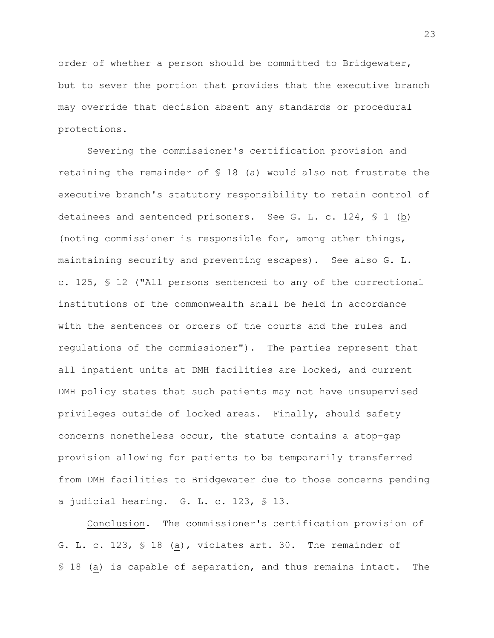order of whether a person should be committed to Bridgewater, but to sever the portion that provides that the executive branch may override that decision absent any standards or procedural protections.

Severing the commissioner's certification provision and retaining the remainder of § 18 (a) would also not frustrate the executive branch's statutory responsibility to retain control of detainees and sentenced prisoners. See G. L. c. 124, § 1 (b) (noting commissioner is responsible for, among other things, maintaining security and preventing escapes). See also G. L. c. 125, § 12 ("All persons sentenced to any of the correctional institutions of the commonwealth shall be held in accordance with the sentences or orders of the courts and the rules and regulations of the commissioner"). The parties represent that all inpatient units at DMH facilities are locked, and current DMH policy states that such patients may not have unsupervised privileges outside of locked areas. Finally, should safety concerns nonetheless occur, the statute contains a stop-gap provision allowing for patients to be temporarily transferred from DMH facilities to Bridgewater due to those concerns pending a judicial hearing. G. L. c. 123, § 13.

Conclusion. The commissioner's certification provision of G. L. c. 123, § 18 (a), violates art. 30. The remainder of § 18 (a) is capable of separation, and thus remains intact. The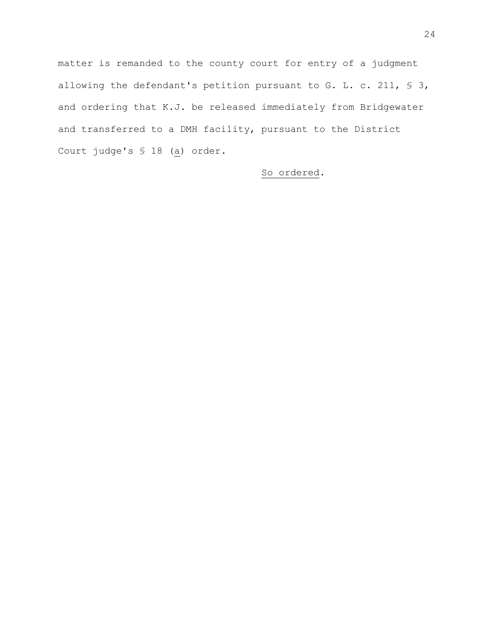matter is remanded to the county court for entry of a judgment allowing the defendant's petition pursuant to G. L. c. 211, § 3, and ordering that K.J. be released immediately from Bridgewater and transferred to a DMH facility, pursuant to the District Court judge's § 18 (a) order.

## So ordered.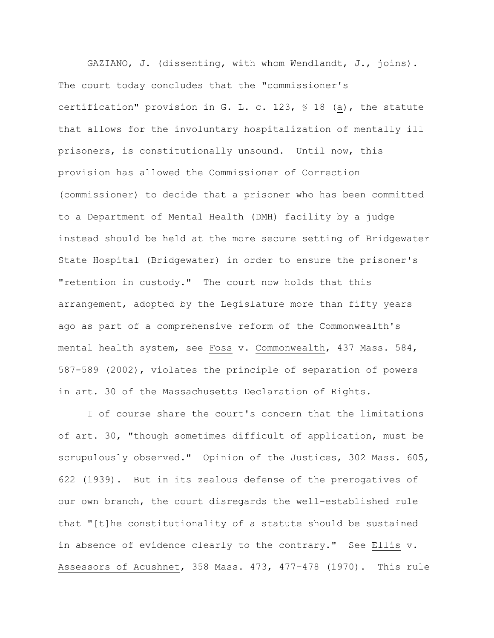GAZIANO, J. (dissenting, with whom Wendlandt, J., joins). The court today concludes that the "commissioner's certification" provision in G. L. c. 123, § 18 (a), the statute that allows for the involuntary hospitalization of mentally ill prisoners, is constitutionally unsound. Until now, this provision has allowed the Commissioner of Correction (commissioner) to decide that a prisoner who has been committed to a Department of Mental Health (DMH) facility by a judge instead should be held at the more secure setting of Bridgewater State Hospital (Bridgewater) in order to ensure the prisoner's "retention in custody." The court now holds that this arrangement, adopted by the Legislature more than fifty years ago as part of a comprehensive reform of the Commonwealth's mental health system, see Foss v. Commonwealth, 437 Mass. 584, 587-589 (2002), violates the principle of separation of powers in art. 30 of the Massachusetts Declaration of Rights.

I of course share the court's concern that the limitations of art. 30, "though sometimes difficult of application, must be scrupulously observed." Opinion of the Justices, 302 Mass. 605, 622 (1939). But in its zealous defense of the prerogatives of our own branch, the court disregards the well-established rule that "[t]he constitutionality of a statute should be sustained in absence of evidence clearly to the contrary." See Ellis v. Assessors of Acushnet, 358 Mass. 473, 477–478 (1970). This rule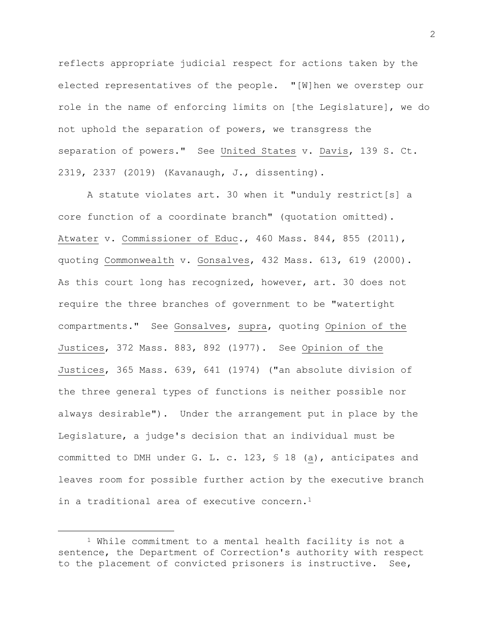reflects appropriate judicial respect for actions taken by the elected representatives of the people. "[W]hen we overstep our role in the name of enforcing limits on [the Legislature], we do not uphold the separation of powers, we transgress the separation of powers." See United States v. Davis, 139 S. Ct. 2319, 2337 (2019) (Kavanaugh, J., dissenting).

A statute violates art. 30 when it "unduly restrict[s] a core function of a coordinate branch" (quotation omitted). Atwater v. Commissioner of Educ., 460 Mass. 844, 855 (2011), quoting Commonwealth v. Gonsalves, 432 Mass. 613, 619 (2000). As this court long has recognized, however, art. 30 does not require the three branches of government to be "watertight compartments." See Gonsalves, supra, quoting Opinion of the Justices, 372 Mass. 883, 892 (1977). See Opinion of the Justices, 365 Mass. 639, 641 (1974) ("an absolute division of the three general types of functions is neither possible nor always desirable"). Under the arrangement put in place by the Legislature, a judge's decision that an individual must be committed to DMH under G. L. c. 123, § 18 (a), anticipates and leaves room for possible further action by the executive branch in a traditional area of executive concern.<sup>1</sup>

<sup>1</sup> While commitment to a mental health facility is not a sentence, the Department of Correction's authority with respect to the placement of convicted prisoners is instructive. See,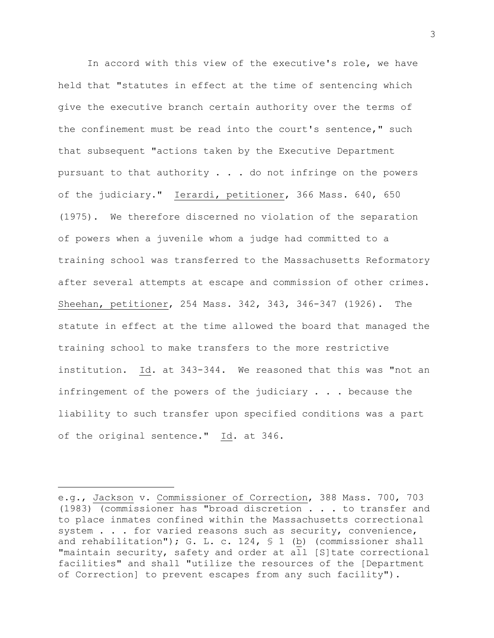In accord with this view of the executive's role, we have held that "statutes in effect at the time of sentencing which give the executive branch certain authority over the terms of the confinement must be read into the court's sentence," such that subsequent "actions taken by the Executive Department pursuant to that authority . . . do not infringe on the powers of the judiciary." Ierardi, petitioner, 366 Mass. 640, 650 (1975). We therefore discerned no violation of the separation of powers when a juvenile whom a judge had committed to a training school was transferred to the Massachusetts Reformatory after several attempts at escape and commission of other crimes. Sheehan, petitioner, 254 Mass. 342, 343, 346-347 (1926). The statute in effect at the time allowed the board that managed the training school to make transfers to the more restrictive institution. Id. at 343-344. We reasoned that this was "not an infringement of the powers of the judiciary . . . because the liability to such transfer upon specified conditions was a part of the original sentence." Id. at 346.

e.g., Jackson v. Commissioner of Correction, 388 Mass. 700, 703 (1983) (commissioner has "broad discretion . . . to transfer and to place inmates confined within the Massachusetts correctional system . . . for varied reasons such as security, convenience, and rehabilitation"); G. L. c. 124, § 1 (b) (commissioner shall "maintain security, safety and order at all [S]tate correctional facilities" and shall "utilize the resources of the [Department of Correction] to prevent escapes from any such facility").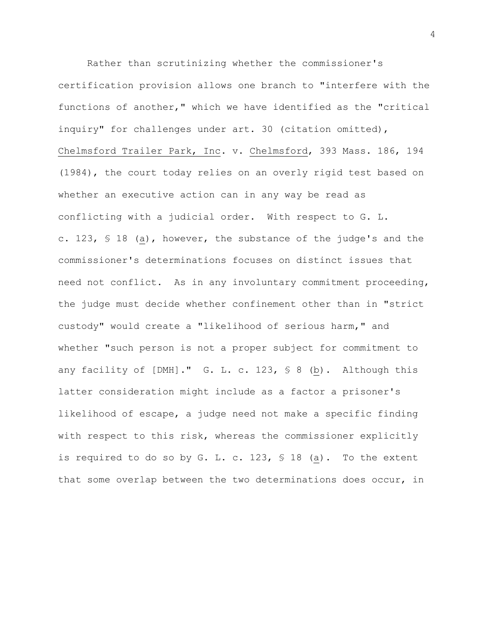Rather than scrutinizing whether the commissioner's certification provision allows one branch to "interfere with the functions of another," which we have identified as the "critical inquiry" for challenges under art. 30 (citation omitted), Chelmsford Trailer Park, Inc. v. Chelmsford, 393 Mass. 186, 194 (1984), the court today relies on an overly rigid test based on whether an executive action can in any way be read as conflicting with a judicial order. With respect to G. L. c. 123, § 18 (a), however, the substance of the judge's and the commissioner's determinations focuses on distinct issues that need not conflict. As in any involuntary commitment proceeding, the judge must decide whether confinement other than in "strict custody" would create a "likelihood of serious harm," and whether "such person is not a proper subject for commitment to any facility of [DMH]." G. L. c. 123, § 8 (b). Although this latter consideration might include as a factor a prisoner's likelihood of escape, a judge need not make a specific finding with respect to this risk, whereas the commissioner explicitly is required to do so by G. L. c. 123, § 18 (a). To the extent that some overlap between the two determinations does occur, in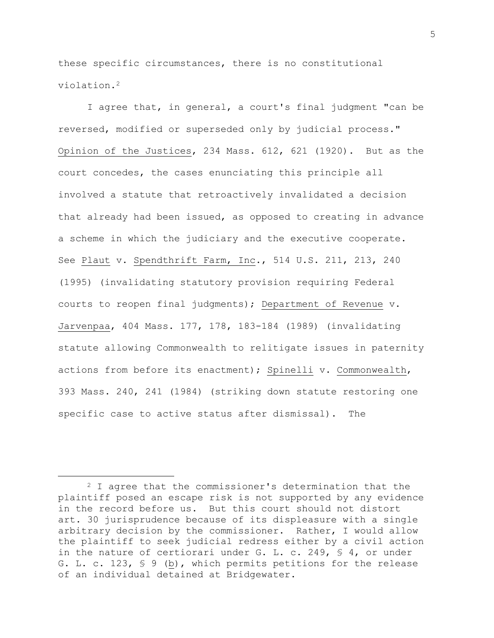these specific circumstances, there is no constitutional violation.<sup>2</sup>

I agree that, in general, a court's final judgment "can be reversed, modified or superseded only by judicial process." Opinion of the Justices, 234 Mass. 612, 621 (1920). But as the court concedes, the cases enunciating this principle all involved a statute that retroactively invalidated a decision that already had been issued, as opposed to creating in advance a scheme in which the judiciary and the executive cooperate. See Plaut v. Spendthrift Farm, Inc., 514 U.S. 211, 213, 240 (1995) (invalidating statutory provision requiring Federal courts to reopen final judgments); Department of Revenue v. Jarvenpaa, 404 Mass. 177, 178, 183-184 (1989) (invalidating statute allowing Commonwealth to relitigate issues in paternity actions from before its enactment); Spinelli v. Commonwealth, 393 Mass. 240, 241 (1984) (striking down statute restoring one specific case to active status after dismissal). The

<sup>2</sup> I agree that the commissioner's determination that the plaintiff posed an escape risk is not supported by any evidence in the record before us. But this court should not distort art. 30 jurisprudence because of its displeasure with a single arbitrary decision by the commissioner. Rather, I would allow the plaintiff to seek judicial redress either by a civil action in the nature of certiorari under G. L. c. 249, § 4, or under G. L. c. 123, § 9 (b), which permits petitions for the release of an individual detained at Bridgewater.